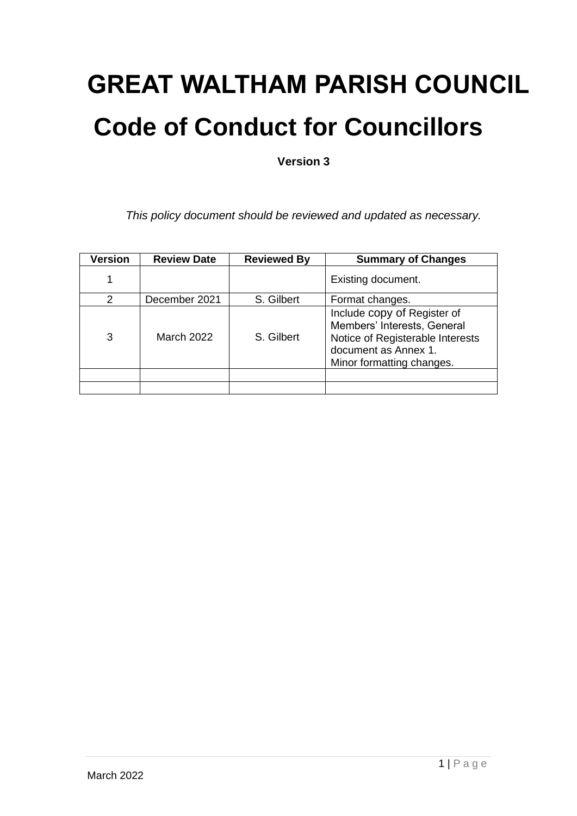# **GREAT WALTHAM PARISH COUNCIL Code of Conduct for Councillors**

**Version 3**

*This policy document should be reviewed and updated as necessary.*

| <b>Version</b> | <b>Review Date</b> | <b>Reviewed By</b> | <b>Summary of Changes</b>                                                                                                                           |
|----------------|--------------------|--------------------|-----------------------------------------------------------------------------------------------------------------------------------------------------|
|                |                    |                    | Existing document.                                                                                                                                  |
| 2              | December 2021      | S. Gilbert         | Format changes.                                                                                                                                     |
| 3              | March 2022         | S. Gilbert         | Include copy of Register of<br>Members' Interests, General<br>Notice of Registerable Interests<br>document as Annex 1.<br>Minor formatting changes. |
|                |                    |                    |                                                                                                                                                     |
|                |                    |                    |                                                                                                                                                     |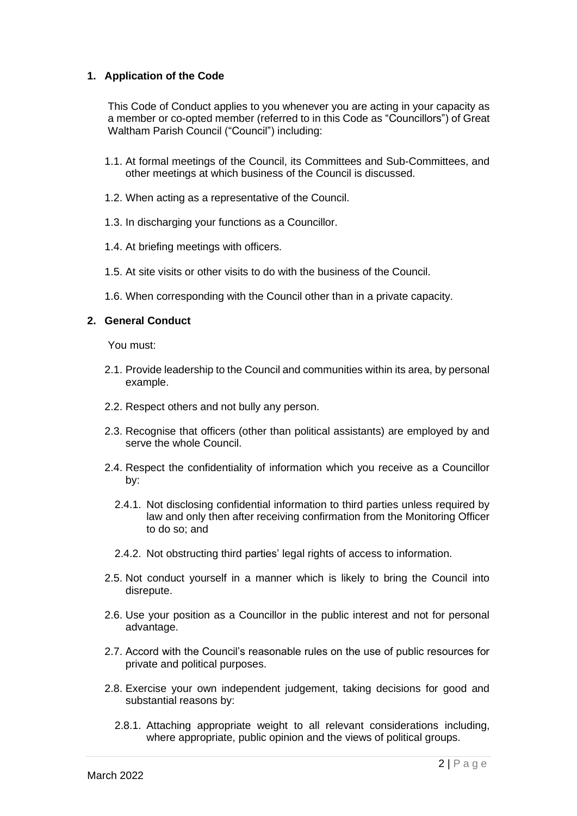## **1. Application of the Code**

This Code of Conduct applies to you whenever you are acting in your capacity as a member or co-opted member (referred to in this Code as "Councillors") of Great Waltham Parish Council ("Council") including:

- 1.1. At formal meetings of the Council, its Committees and Sub-Committees, and other meetings at which business of the Council is discussed.
- 1.2. When acting as a representative of the Council.
- 1.3. In discharging your functions as a Councillor.
- 1.4. At briefing meetings with officers.
- 1.5. At site visits or other visits to do with the business of the Council.
- 1.6. When corresponding with the Council other than in a private capacity.

## **2. General Conduct**

You must:

- 2.1. Provide leadership to the Council and communities within its area, by personal example.
- 2.2. Respect others and not bully any person.
- 2.3. Recognise that officers (other than political assistants) are employed by and serve the whole Council.
- 2.4. Respect the confidentiality of information which you receive as a Councillor by:
	- 2.4.1. Not disclosing confidential information to third parties unless required by law and only then after receiving confirmation from the Monitoring Officer to do so; and
	- 2.4.2. Not obstructing third parties' legal rights of access to information.
- 2.5. Not conduct yourself in a manner which is likely to bring the Council into disrepute.
- 2.6. Use your position as a Councillor in the public interest and not for personal advantage.
- 2.7. Accord with the Council's reasonable rules on the use of public resources for private and political purposes.
- 2.8. Exercise your own independent judgement, taking decisions for good and substantial reasons by:
	- 2.8.1. Attaching appropriate weight to all relevant considerations including, where appropriate, public opinion and the views of political groups.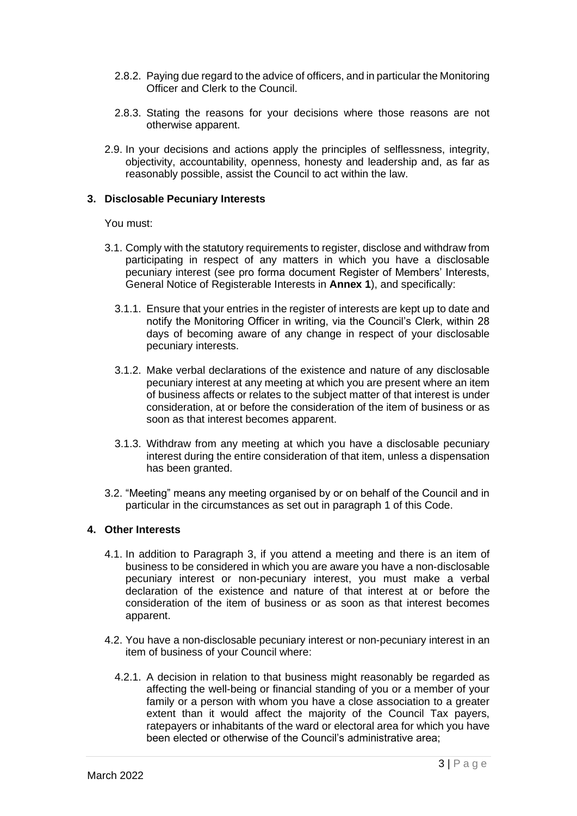- 2.8.2. Paying due regard to the advice of officers, and in particular the Monitoring Officer and Clerk to the Council.
- 2.8.3. Stating the reasons for your decisions where those reasons are not otherwise apparent.
- 2.9. In your decisions and actions apply the principles of selflessness, integrity, objectivity, accountability, openness, honesty and leadership and, as far as reasonably possible, assist the Council to act within the law.

#### **3. Disclosable Pecuniary Interests**

You must:

- 3.1. Comply with the statutory requirements to register, disclose and withdraw from participating in respect of any matters in which you have a disclosable pecuniary interest (see pro forma document Register of Members' Interests, General Notice of Registerable Interests in **Annex 1**), and specifically:
	- 3.1.1. Ensure that your entries in the register of interests are kept up to date and notify the Monitoring Officer in writing, via the Council's Clerk, within 28 days of becoming aware of any change in respect of your disclosable pecuniary interests.
	- 3.1.2. Make verbal declarations of the existence and nature of any disclosable pecuniary interest at any meeting at which you are present where an item of business affects or relates to the subject matter of that interest is under consideration, at or before the consideration of the item of business or as soon as that interest becomes apparent.
	- 3.1.3. Withdraw from any meeting at which you have a disclosable pecuniary interest during the entire consideration of that item, unless a dispensation has been granted.
- 3.2. "Meeting" means any meeting organised by or on behalf of the Council and in particular in the circumstances as set out in paragraph 1 of this Code.

#### **4. Other Interests**

- 4.1. In addition to Paragraph 3, if you attend a meeting and there is an item of business to be considered in which you are aware you have a non-disclosable pecuniary interest or non-pecuniary interest, you must make a verbal declaration of the existence and nature of that interest at or before the consideration of the item of business or as soon as that interest becomes apparent.
- 4.2. You have a non-disclosable pecuniary interest or non-pecuniary interest in an item of business of your Council where:
	- 4.2.1. A decision in relation to that business might reasonably be regarded as affecting the well-being or financial standing of you or a member of your family or a person with whom you have a close association to a greater extent than it would affect the majority of the Council Tax payers, ratepayers or inhabitants of the ward or electoral area for which you have been elected or otherwise of the Council's administrative area;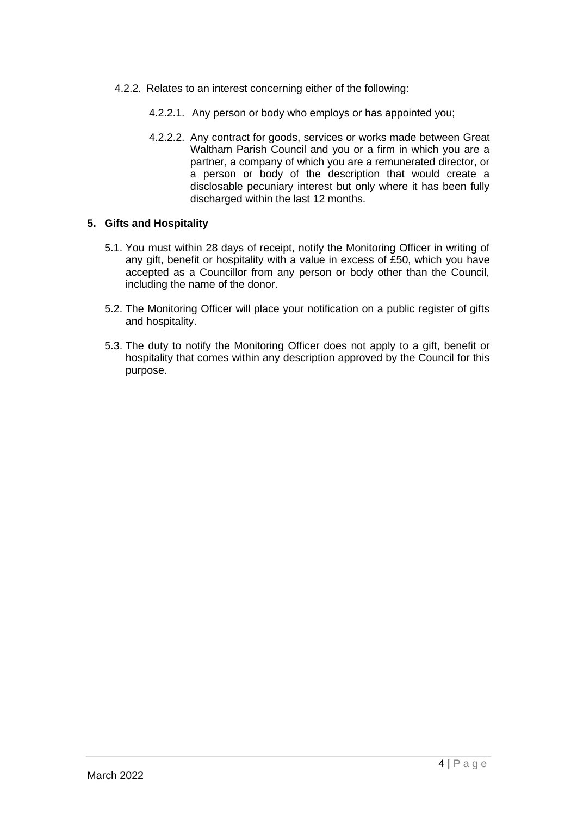- 4.2.2. Relates to an interest concerning either of the following:
	- 4.2.2.1. Any person or body who employs or has appointed you;
	- 4.2.2.2. Any contract for goods, services or works made between Great Waltham Parish Council and you or a firm in which you are a partner, a company of which you are a remunerated director, or a person or body of the description that would create a disclosable pecuniary interest but only where it has been fully discharged within the last 12 months.

## **5. Gifts and Hospitality**

- 5.1. You must within 28 days of receipt, notify the Monitoring Officer in writing of any gift, benefit or hospitality with a value in excess of £50, which you have accepted as a Councillor from any person or body other than the Council, including the name of the donor.
- 5.2. The Monitoring Officer will place your notification on a public register of gifts and hospitality.
- 5.3. The duty to notify the Monitoring Officer does not apply to a gift, benefit or hospitality that comes within any description approved by the Council for this purpose.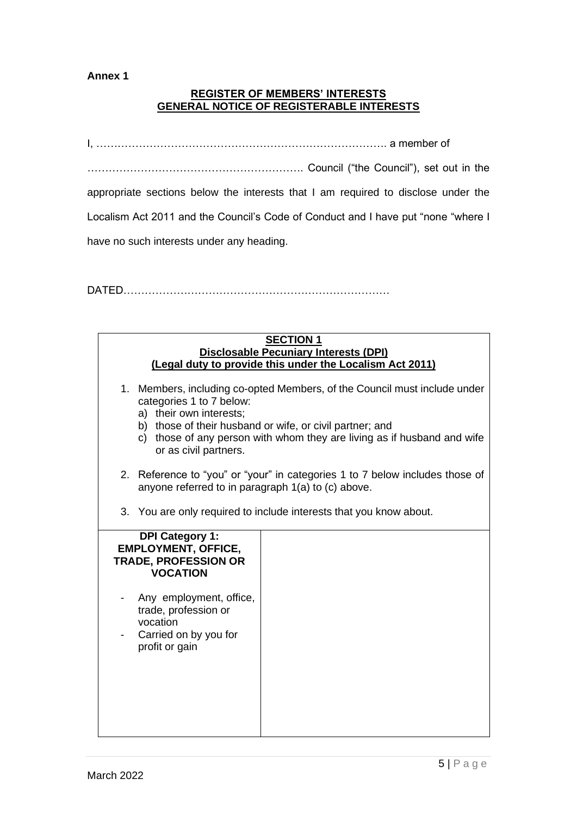#### **Annex 1**

## **REGISTER OF MEMBERS' INTERESTS GENERAL NOTICE OF REGISTERABLE INTERESTS**

I, ………………………………………………………………………. a member of ……………………………………………………. Council ("the Council"), set out in the appropriate sections below the interests that I am required to disclose under the Localism Act 2011 and the Council's Code of Conduct and I have put "none "where I have no such interests under any heading.

DATED…………………………………………………………………

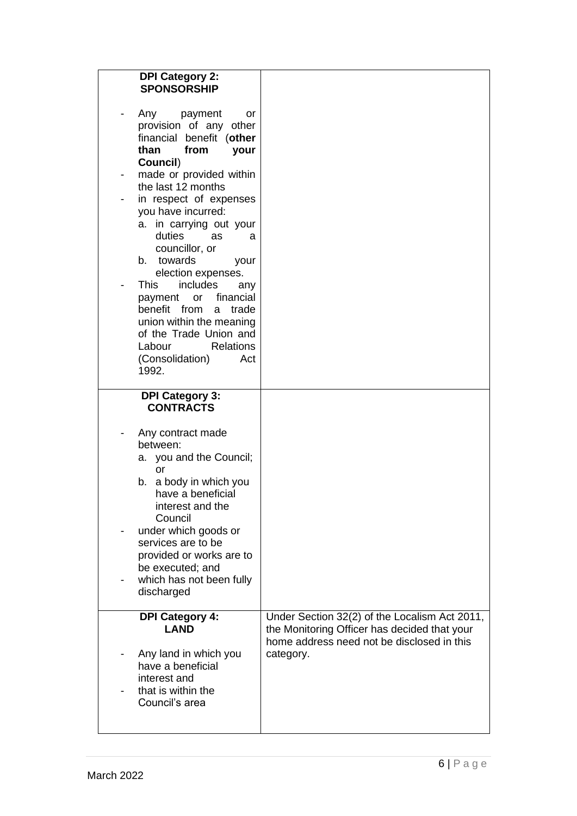|   | <b>DPI Category 2:</b><br><b>SPONSORSHIP</b>                                                                                     |                                                         |
|---|----------------------------------------------------------------------------------------------------------------------------------|---------------------------------------------------------|
|   | Any payment<br>or<br>provision of any other<br>financial benefit (other<br>than<br>from<br>your<br>Council)                      |                                                         |
| ۰ | made or provided within                                                                                                          |                                                         |
|   | the last 12 months<br>in respect of expenses                                                                                     |                                                         |
|   | you have incurred:<br>a. in carrying out your<br>duties<br>as<br>a<br>councillor, or<br>b. towards<br>your<br>election expenses. |                                                         |
|   | <b>This</b><br>includes<br>any                                                                                                   |                                                         |
|   | financial<br>or<br>payment<br>benefit from<br>trade<br>a                                                                         |                                                         |
|   | union within the meaning<br>of the Trade Union and                                                                               |                                                         |
|   | Labour<br><b>Relations</b>                                                                                                       |                                                         |
|   | (Consolidation)<br>Act<br>1992.                                                                                                  |                                                         |
|   |                                                                                                                                  |                                                         |
|   | <b>DPI Category 3:</b><br><b>CONTRACTS</b>                                                                                       |                                                         |
|   |                                                                                                                                  |                                                         |
|   |                                                                                                                                  |                                                         |
|   | Any contract made<br>between:                                                                                                    |                                                         |
|   | a. you and the Council;                                                                                                          |                                                         |
|   | or<br>a body in which you<br>b.                                                                                                  |                                                         |
|   | have a beneficial                                                                                                                |                                                         |
|   | interest and the<br>Council                                                                                                      |                                                         |
|   | under which goods or                                                                                                             |                                                         |
|   | services are to be<br>provided or works are to                                                                                   |                                                         |
|   | be executed; and                                                                                                                 |                                                         |
|   | which has not been fully<br>discharged                                                                                           |                                                         |
|   | <b>DPI Category 4:</b>                                                                                                           | Under Section 32(2) of the Localism Act 2011,           |
|   | <b>LAND</b>                                                                                                                      | the Monitoring Officer has decided that your            |
|   | Any land in which you                                                                                                            | home address need not be disclosed in this<br>category. |
|   | have a beneficial                                                                                                                |                                                         |
|   | interest and<br>that is within the                                                                                               |                                                         |
|   | Council's area                                                                                                                   |                                                         |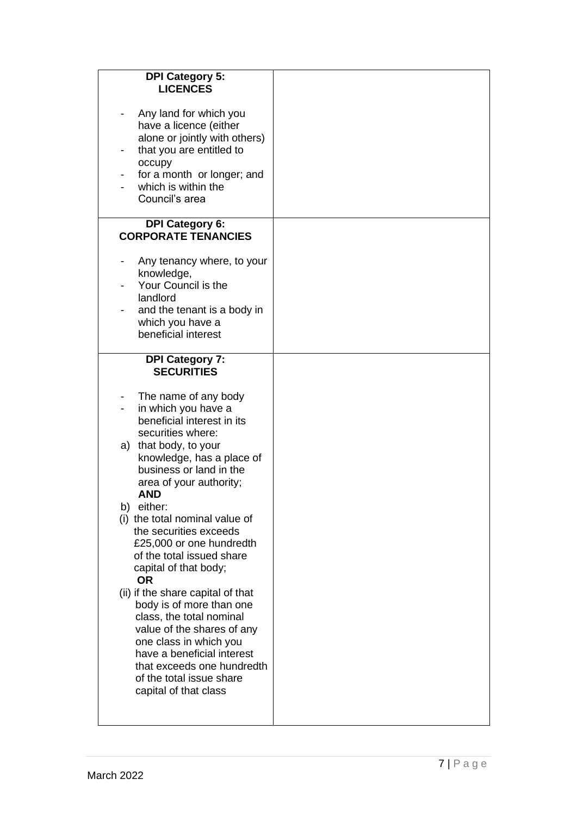| <b>DPI Category 5:</b><br><b>LICENCES</b>                                                                                                                                                                                                                                                                                                                                                                                                                                                                                                                                                                                                                                                           |  |
|-----------------------------------------------------------------------------------------------------------------------------------------------------------------------------------------------------------------------------------------------------------------------------------------------------------------------------------------------------------------------------------------------------------------------------------------------------------------------------------------------------------------------------------------------------------------------------------------------------------------------------------------------------------------------------------------------------|--|
| Any land for which you<br>have a licence (either<br>alone or jointly with others)<br>that you are entitled to<br>occupy<br>for a month or longer; and<br>which is within the<br>Council's area                                                                                                                                                                                                                                                                                                                                                                                                                                                                                                      |  |
| <b>DPI Category 6:</b><br><b>CORPORATE TENANCIES</b>                                                                                                                                                                                                                                                                                                                                                                                                                                                                                                                                                                                                                                                |  |
| Any tenancy where, to your<br>knowledge,<br>Your Council is the<br>landlord<br>and the tenant is a body in<br>which you have a<br>beneficial interest                                                                                                                                                                                                                                                                                                                                                                                                                                                                                                                                               |  |
| <b>DPI Category 7:</b><br><b>SECURITIES</b>                                                                                                                                                                                                                                                                                                                                                                                                                                                                                                                                                                                                                                                         |  |
| The name of any body<br>$\overline{\phantom{a}}$<br>in which you have a<br>beneficial interest in its<br>securities where:<br>a) that body, to your<br>knowledge, has a place of<br>business or land in the<br>area of your authority;<br><b>AND</b><br>b) either:<br>(i) the total nominal value of<br>the securities exceeds<br>£25,000 or one hundredth<br>of the total issued share<br>capital of that body;<br><b>OR</b><br>(ii) if the share capital of that<br>body is of more than one<br>class, the total nominal<br>value of the shares of any<br>one class in which you<br>have a beneficial interest<br>that exceeds one hundredth<br>of the total issue share<br>capital of that class |  |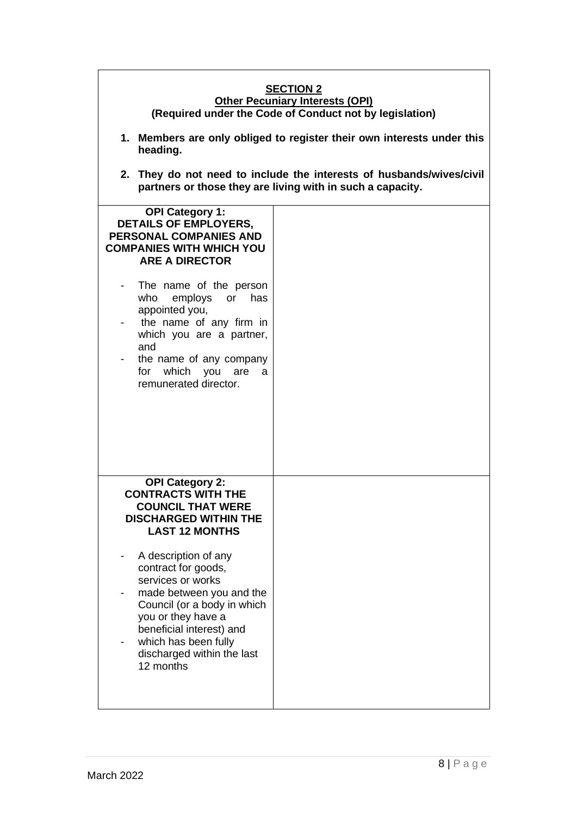| <b>SECTION 2</b><br><b>Other Pecuniary Interests (OPI)</b><br>(Required under the Code of Conduct not by legislation)                                                                                                                                 |                                                                                                                                    |  |  |  |
|-------------------------------------------------------------------------------------------------------------------------------------------------------------------------------------------------------------------------------------------------------|------------------------------------------------------------------------------------------------------------------------------------|--|--|--|
| heading.                                                                                                                                                                                                                                              | 1. Members are only obliged to register their own interests under this                                                             |  |  |  |
|                                                                                                                                                                                                                                                       | 2. They do not need to include the interests of husbands/wives/civil<br>partners or those they are living with in such a capacity. |  |  |  |
| <b>OPI Category 1:</b><br><b>DETAILS OF EMPLOYERS,</b><br><b>PERSONAL COMPANIES AND</b><br><b>COMPANIES WITH WHICH YOU</b><br><b>ARE A DIRECTOR</b>                                                                                                   |                                                                                                                                    |  |  |  |
| The name of the person<br>who<br>employs or has<br>appointed you,<br>the name of any firm in<br>which you are a partner,<br>and<br>the name of any company<br>for which you<br>are<br>a<br>remunerated director.                                      |                                                                                                                                    |  |  |  |
| <b>OPI Category 2:</b><br><b>CONTRACTS WITH THE</b><br><b>COUNCIL THAT WERE</b><br><b>DISCHARGED WITHIN THE</b><br><b>LAST 12 MONTHS</b>                                                                                                              |                                                                                                                                    |  |  |  |
| A description of any<br>-<br>contract for goods,<br>services or works<br>made between you and the<br>Council (or a body in which<br>you or they have a<br>beneficial interest) and<br>which has been fully<br>discharged within the last<br>12 months |                                                                                                                                    |  |  |  |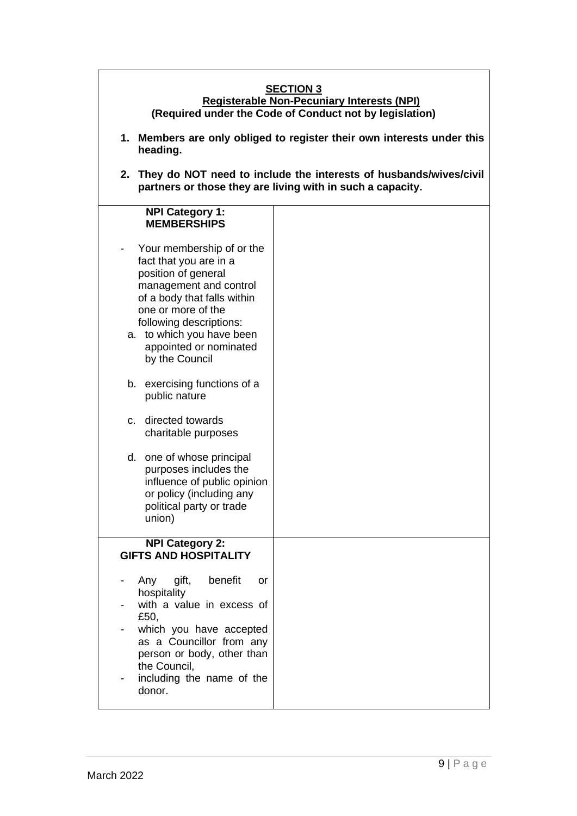| <b>SECTION 3</b><br>Registerable Non-Pecuniary Interests (NPI)<br>(Required under the Code of Conduct not by legislation)                                                                                                                                                                                                                                                                                                                                                                                    |                                                                                                                                    |  |  |  |  |
|--------------------------------------------------------------------------------------------------------------------------------------------------------------------------------------------------------------------------------------------------------------------------------------------------------------------------------------------------------------------------------------------------------------------------------------------------------------------------------------------------------------|------------------------------------------------------------------------------------------------------------------------------------|--|--|--|--|
| 1. Members are only obliged to register their own interests under this<br>heading.                                                                                                                                                                                                                                                                                                                                                                                                                           |                                                                                                                                    |  |  |  |  |
|                                                                                                                                                                                                                                                                                                                                                                                                                                                                                                              | 2. They do NOT need to include the interests of husbands/wives/civil<br>partners or those they are living with in such a capacity. |  |  |  |  |
| <b>NPI Category 1:</b><br><b>MEMBERSHIPS</b>                                                                                                                                                                                                                                                                                                                                                                                                                                                                 |                                                                                                                                    |  |  |  |  |
| Your membership of or the<br>fact that you are in a<br>position of general<br>management and control<br>of a body that falls within<br>one or more of the<br>following descriptions:<br>a. to which you have been<br>appointed or nominated<br>by the Council<br>b. exercising functions of a<br>public nature<br>directed towards<br>C.<br>charitable purposes<br>d. one of whose principal<br>purposes includes the<br>influence of public opinion<br>or policy (including any<br>political party or trade |                                                                                                                                    |  |  |  |  |
| union)<br><b>NPI Category 2:</b><br><b>GIFTS AND HOSPITALITY</b>                                                                                                                                                                                                                                                                                                                                                                                                                                             |                                                                                                                                    |  |  |  |  |
| benefit<br>Any<br>gift,<br>or<br>hospitality<br>with a value in excess of<br>£50,<br>which you have accepted<br>as a Councillor from any<br>person or body, other than<br>the Council,<br>including the name of the<br>donor.                                                                                                                                                                                                                                                                                |                                                                                                                                    |  |  |  |  |